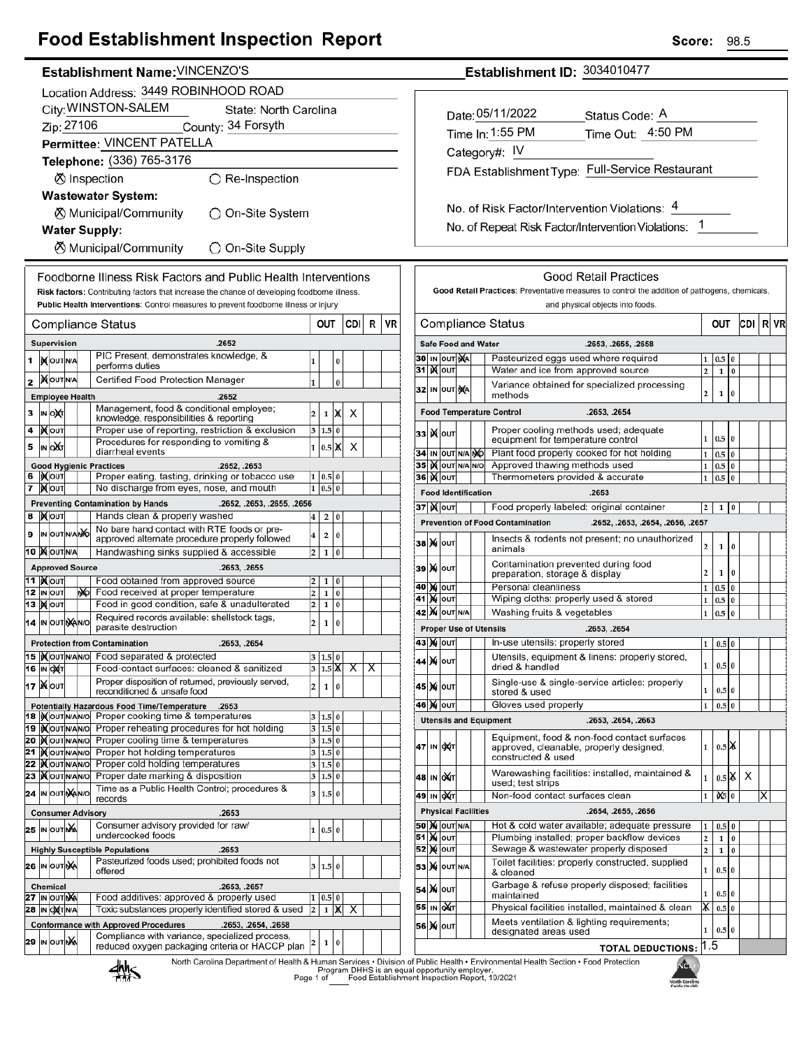## **Food Establishment Inspection Report**

### Establishment Name: VINCENZO'S

|                      | Location Address: 3449 ROBINHOOD ROAD     |                                                                                    |  |     |                                                                                                                                                                                      |        |                   |          |      |                         |    |  |  |
|----------------------|-------------------------------------------|------------------------------------------------------------------------------------|--|-----|--------------------------------------------------------------------------------------------------------------------------------------------------------------------------------------|--------|-------------------|----------|------|-------------------------|----|--|--|
|                      |                                           |                                                                                    |  |     | City: WINSTON-SALEM<br>State: North Carolina                                                                                                                                         |        |                   |          |      |                         |    |  |  |
|                      |                                           | Zip: 27106                                                                         |  |     | County: 34 Forsyth                                                                                                                                                                   |        |                   |          |      |                         |    |  |  |
|                      |                                           |                                                                                    |  |     | Permittee: VINCENT PATELLA                                                                                                                                                           |        |                   |          |      |                         |    |  |  |
|                      |                                           |                                                                                    |  |     | Telephone: (336) 765-3176                                                                                                                                                            |        |                   |          |      |                         |    |  |  |
|                      | ⊗ Inspection<br>$\bigcirc$ Re-Inspection  |                                                                                    |  |     |                                                                                                                                                                                      |        |                   |          |      |                         |    |  |  |
|                      |                                           |                                                                                    |  |     | <b>Wastewater System:</b>                                                                                                                                                            |        |                   |          |      |                         |    |  |  |
|                      | ⊗ Municipal/Community<br>)On-Site System  |                                                                                    |  |     |                                                                                                                                                                                      |        |                   |          |      |                         |    |  |  |
|                      | <b>Water Supply:</b>                      |                                                                                    |  |     |                                                                                                                                                                                      |        |                   |          |      |                         |    |  |  |
|                      | ⊗ Municipal/Community<br>◯ On-Site Supply |                                                                                    |  |     |                                                                                                                                                                                      |        |                   |          |      |                         |    |  |  |
|                      |                                           |                                                                                    |  |     | Foodborne Illness Risk Factors and Public Health Interventions                                                                                                                       |        |                   |          |      |                         |    |  |  |
|                      |                                           |                                                                                    |  |     | Risk factors: Contributing factors that increase the chance of developing foodborne illness.<br>Public Health Interventions: Control measures to prevent foodborne illness or injury |        |                   |          |      |                         |    |  |  |
|                      |                                           |                                                                                    |  |     | Compliance Status                                                                                                                                                                    |        | OUT               |          | CDII | R                       | VR |  |  |
| Supervision<br>.2652 |                                           |                                                                                    |  |     |                                                                                                                                                                                      |        |                   |          |      |                         |    |  |  |
| 1                    |                                           | IN OUT N/A                                                                         |  |     | PIC Present, demonstrates knowledge, &                                                                                                                                               | 1      |                   | 0        |      |                         |    |  |  |
| 2                    |                                           | <b>MOUTNA</b>                                                                      |  |     | performs duties<br>Certified Food Protection Manager                                                                                                                                 |        |                   | $\bf{0}$ |      |                         |    |  |  |
|                      |                                           | <b>Employee Health</b>                                                             |  |     | .2652                                                                                                                                                                                | 1      |                   |          |      |                         |    |  |  |
| 3                    |                                           | IN OXT                                                                             |  |     | Management, food & conditional employee;                                                                                                                                             | 2      | 1                 | x        | х    |                         |    |  |  |
| 4                    |                                           | I) (o∪т                                                                            |  |     | knowledge, responsibilities & reporting<br>Proper use of reporting, restriction & exclusion                                                                                          | 3      | 1.5               | 0        |      |                         |    |  |  |
| 5                    | IN                                        | oХт                                                                                |  |     | Procedures for responding to vomiting &                                                                                                                                              | 1      | $0.5 \mathbb{X} $ |          | x    |                         |    |  |  |
|                      |                                           |                                                                                    |  |     | diarrheal events                                                                                                                                                                     |        |                   |          |      |                         |    |  |  |
| 6                    |                                           | IXOUT                                                                              |  |     | <b>Good Hygienic Practices</b><br>.2652, .2653<br>Proper eating, tasting, drinking or tobacco use                                                                                    | 1      | 0.5 0             |          |      |                         |    |  |  |
| 7                    |                                           | ∣ <b>)∢</b>  оυт                                                                   |  |     | No discharge from eyes, nose, and mouth                                                                                                                                              |        | 0.5               | $\bf{0}$ |      |                         |    |  |  |
|                      |                                           |                                                                                    |  |     | <b>Preventing Contamination by Hands</b><br>.2652, .2653, .2655, .2656                                                                                                               |        |                   |          |      |                         |    |  |  |
| 8                    |                                           | <b>XOUT</b>                                                                        |  |     | Hands clean & properly washed<br>No bare hand contact with RTE foods or pre-                                                                                                         | 4      | 2                 | 0        |      |                         |    |  |  |
| 9                    |                                           | IN OUT N/ANO                                                                       |  |     | approved alternate procedure properly followed                                                                                                                                       | 4      | 2                 | 0        |      |                         |    |  |  |
|                      |                                           | 10  X OUTNA                                                                        |  |     | Handwashing sinks supplied & accessible                                                                                                                                              | 2      | 1                 | 0        |      |                         |    |  |  |
|                      |                                           | <b>Approved Source</b><br>11  ) <b>χ</b> <sub>l</sub> out                          |  |     | .2653, .2655<br>Food obtained from approved source                                                                                                                                   | 2      | 1                 | 0        |      |                         |    |  |  |
| 12                   |                                           | IN OUT                                                                             |  | NO. | Food received at proper temperature                                                                                                                                                  | 2      | 1                 | $\bf{0}$ |      |                         |    |  |  |
|                      |                                           | 13   <b>M</b> out                                                                  |  |     | Food in good condition, safe & unadulterated                                                                                                                                         | 2      | 1                 | 0        |      |                         |    |  |  |
| 14                   |                                           | IN OUT NAINO                                                                       |  |     | Required records available: shellstock tags,<br>parasite destruction                                                                                                                 | 2      | 1                 | 0        |      |                         |    |  |  |
|                      |                                           |                                                                                    |  |     | <b>Protection from Contamination</b><br>.2653, .2654                                                                                                                                 |        |                   |          |      |                         |    |  |  |
|                      |                                           | 16 IN OXT                                                                          |  |     | 15  Xout NANO Food separated & protected<br>Food-contact surfaces: cleaned & sanitized                                                                                               |        | 1.5<br>3 1.5 X    | 0        | ΧI   | $\overline{\mathsf{x}}$ |    |  |  |
|                      |                                           | 17   Nout                                                                          |  |     | Proper disposition of returned, previously served,                                                                                                                                   |        |                   |          |      |                         |    |  |  |
|                      |                                           |                                                                                    |  |     | reconditioned & unsafe food                                                                                                                                                          | 2      | 1                 | 0        |      |                         |    |  |  |
|                      |                                           | 18 IN OUT N/AN/O                                                                   |  |     | Potentially Hazardous Food Time/Temperature .2653<br>Proper cooking time & temperatures                                                                                              | 3      | 1.5 0             |          |      |                         |    |  |  |
|                      |                                           | 19  KOUTNANO                                                                       |  |     | Proper reheating procedures for hot holding                                                                                                                                          | 3      | 1.5 0             |          |      |                         |    |  |  |
|                      |                                           | 20 Mout NANO                                                                       |  |     | Proper cooling time & temperatures                                                                                                                                                   | 3      | 1.5 0             |          |      |                         |    |  |  |
| 21                   |                                           | <b>KOUTNANO</b><br>22 IN OUT N/AN/O                                                |  |     | Proper hot holding temperatures<br>Proper cold holding temperatures                                                                                                                  | 3<br>3 | 1.5 0<br>1.5 0    |          |      |                         |    |  |  |
|                      |                                           | 23   OUTNANO                                                                       |  |     | Proper date marking & disposition                                                                                                                                                    | 3      | 1.5 0             |          |      |                         |    |  |  |
|                      |                                           | 24 IN OUT NANO                                                                     |  |     | Time as a Public Health Control; procedures &<br>records                                                                                                                             | 3      | 1.5 0             |          |      |                         |    |  |  |
|                      |                                           |                                                                                    |  |     | <b>Consumer Advisory</b><br>.2653                                                                                                                                                    |        |                   |          |      |                         |    |  |  |
|                      |                                           | 25 IN OUTING                                                                       |  |     | Consumer advisory provided for raw/<br>undercooked foods                                                                                                                             | 1      | 0.5 0             |          |      |                         |    |  |  |
|                      |                                           |                                                                                    |  |     | .2653<br><b>Highly Susceptible Populations</b>                                                                                                                                       |        |                   |          |      |                         |    |  |  |
|                      |                                           | 26 IN OUT NA                                                                       |  |     | Pasteurized foods used; prohibited foods not                                                                                                                                         | 3      | 1.5 0             |          |      |                         |    |  |  |
|                      |                                           |                                                                                    |  |     | offered                                                                                                                                                                              |        |                   |          |      |                         |    |  |  |
|                      |                                           | <b>Chemical</b><br>27 IN OUT NA                                                    |  |     | .2653, .2657<br>Food additives: approved & properly used                                                                                                                             | 1      | 0.5 0             |          |      |                         |    |  |  |
| 28                   |                                           | Toxic substances properly identified stored & used<br>X<br>IN OXTNA<br>2<br>1<br>Χ |  |     |                                                                                                                                                                                      |        |                   |          |      |                         |    |  |  |
|                      |                                           |                                                                                    |  |     | <b>Conformance with Approved Procedures</b><br>.2653, .2654, .2658                                                                                                                   |        |                   |          |      |                         |    |  |  |
|                      |                                           | 29 IN OUT NA                                                                       |  |     | Compliance with variance, specialized process,<br>reduced oxygen packaging criteria or HACCP plan                                                                                    | 2      | 1                 | 0        |      |                         |    |  |  |
|                      |                                           |                                                                                    |  |     |                                                                                                                                                                                      |        |                   |          |      |                         |    |  |  |

Establishment ID: 3034010477

| Date: 05/11/2022                              | Status Code: A                                  |
|-----------------------------------------------|-------------------------------------------------|
| Time In: 1:55 PM                              | Time Out: 4:50 PM                               |
| Category#: IV                                 |                                                 |
|                                               | FDA Establishment Type: Full-Service Restaurant |
|                                               |                                                 |
| No. of Risk Factor/Intervention Violations: 4 |                                                 |

No. of Repeat Risk Factor/Intervention Violations: 1

|                                                                                       |                                                                                         |                           |                                                                                            |                                                                         | Good Retail Practices                                                                                        |                |             |          |     |   |    |
|---------------------------------------------------------------------------------------|-----------------------------------------------------------------------------------------|---------------------------|--------------------------------------------------------------------------------------------|-------------------------------------------------------------------------|--------------------------------------------------------------------------------------------------------------|----------------|-------------|----------|-----|---|----|
|                                                                                       |                                                                                         |                           |                                                                                            |                                                                         | Good Retail Practices: Preventative measures to control the addition of pathogens, chemicals,                |                |             |          |     |   |    |
|                                                                                       |                                                                                         |                           |                                                                                            |                                                                         | and physical objects into foods.                                                                             |                |             |          |     |   |    |
|                                                                                       |                                                                                         |                           |                                                                                            |                                                                         | Compliance Status                                                                                            |                | out         |          | CDI | R | VR |
|                                                                                       |                                                                                         |                           |                                                                                            | <b>Safe Food and Water</b>                                              | .2653, .2655, .2658                                                                                          |                |             |          |     |   |    |
| 30                                                                                    | Pasteurized eggs used where required<br>IN<br>OUT<br>ŅÁ                                 |                           |                                                                                            |                                                                         |                                                                                                              |                |             | 0        |     |   |    |
| 31                                                                                    | і) <b>χ</b>  оυт<br>Water and ice from approved source                                  |                           |                                                                                            |                                                                         |                                                                                                              |                | 1           | 0        |     |   |    |
| 32                                                                                    | Variance obtained for specialized processing<br>IN OUT NA<br>methods                    |                           |                                                                                            |                                                                         |                                                                                                              |                |             | 0        |     |   |    |
|                                                                                       |                                                                                         |                           |                                                                                            |                                                                         | <b>Food Temperature Control</b><br>.2653, .2654                                                              |                |             |          |     |   |    |
| 33                                                                                    | Proper cooling methods used; adequate<br>уI<br>OUT<br>equipment for temperature control |                           |                                                                                            |                                                                         |                                                                                                              | 1              | 0.5         | $\bf{0}$ |     |   |    |
| 34                                                                                    |                                                                                         | IN OUT N/A NO             |                                                                                            |                                                                         | Plant food properly cooked for hot holding                                                                   | 1              | 0.5         | 0        |     |   |    |
| 35                                                                                    |                                                                                         | IX OUT N/A                |                                                                                            | N/O                                                                     | Approved thawing methods used                                                                                | $\mathbf{1}$   | 0.5         | 0        |     |   |    |
| 36                                                                                    |                                                                                         | <b>K</b> lout             |                                                                                            |                                                                         | Thermometers provided & accurate                                                                             | 1              | 0.5         | 0        |     |   |    |
|                                                                                       |                                                                                         |                           |                                                                                            | <b>Food Identification</b>                                              | .2653                                                                                                        |                |             |          |     |   |    |
|                                                                                       |                                                                                         | <b>37 ) О</b>             |                                                                                            |                                                                         | Food properly labeled: original container                                                                    | 2              | 1           | 0        |     |   |    |
|                                                                                       |                                                                                         |                           |                                                                                            |                                                                         | <b>Prevention of Food Contamination</b><br>.2652, .2653, .2654, .2656, .2657                                 |                |             |          |     |   |    |
| 38                                                                                    | M                                                                                       | lout                      |                                                                                            |                                                                         | Insects & rodents not present; no unauthorized<br>animals                                                    | 2              | 1           | 0        |     |   |    |
| 39                                                                                    |                                                                                         | <b>X</b> OUT              |                                                                                            |                                                                         | Contamination prevented during food<br>preparation, storage & display                                        | $\overline{2}$ | $\mathbf 1$ | $\bf{0}$ |     |   |    |
| 40                                                                                    |                                                                                         | <b>X</b> OUT              |                                                                                            |                                                                         | Personal cleanliness                                                                                         | $\mathbf{1}$   | 0.5         | 0        |     |   |    |
| 41                                                                                    |                                                                                         | )x(   ουτ                 |                                                                                            |                                                                         | Wiping cloths: properly used & stored                                                                        | $\mathbf{1}$   | 0.5         | $\bf{0}$ |     |   |    |
|                                                                                       |                                                                                         | 42   XI OUT N/A           |                                                                                            |                                                                         | Washing fruits & vegetables                                                                                  | 1              | 0.5         | 0        |     |   |    |
|                                                                                       |                                                                                         |                           |                                                                                            |                                                                         | <b>Proper Use of Utensils</b><br>.2653, .2654                                                                |                |             |          |     |   |    |
|                                                                                       |                                                                                         | 43  )X   OUT              |                                                                                            |                                                                         | In-use utensils: properly stored                                                                             | $\mathbf{1}$   | 0.5         | 0        |     |   |    |
| 44                                                                                    | M                                                                                       | OUT                       |                                                                                            |                                                                         | Utensils, equipment & linens: properly stored,<br>1<br>0.5<br>dried & handled                                |                |             | $\bf{0}$ |     |   |    |
| 45                                                                                    | M                                                                                       | OUT                       |                                                                                            |                                                                         | Single-use & single-service articles: properly<br>stored & used                                              | 1              | 0.5         | $\bf{0}$ |     |   |    |
| 46                                                                                    |                                                                                         | <b>X</b> OUT              |                                                                                            |                                                                         | Gloves used properly                                                                                         | 1              | 0.5         | 0        |     |   |    |
|                                                                                       |                                                                                         |                           |                                                                                            |                                                                         | <b>Utensils and Equipment</b><br>.2653, .2654, .2663                                                         |                |             |          |     |   |    |
| 47                                                                                    | IN                                                                                      | ∣ох(т                     |                                                                                            |                                                                         | Equipment, food & non-food contact surfaces<br>approved, cleanable, properly designed,<br>constructed & used | 1              | 0.5 IX      |          |     |   |    |
| 48                                                                                    |                                                                                         | IN ONT                    |                                                                                            |                                                                         | Warewashing facilities: installed, maintained &<br>$0.5$ $\chi$<br>х<br>1<br>used; test strips               |                |             |          |     |   |    |
|                                                                                       |                                                                                         | 49 ін  одт                |                                                                                            |                                                                         | Non-food contact surfaces clean                                                                              | 1              | û\$         | 0        |     |   |    |
|                                                                                       |                                                                                         |                           |                                                                                            | <b>Physical Facilities</b>                                              | .2654, .2655, .2656                                                                                          |                |             |          |     |   |    |
|                                                                                       |                                                                                         | <b>50   X</b>   OUT   N/A |                                                                                            |                                                                         | Hot & cold water available; adequate pressure                                                                |                |             | 0        |     |   |    |
| 51                                                                                    |                                                                                         | <b>X</b> OUT              |                                                                                            | Plumbing installed; proper backflow devices<br>$\overline{2}$<br>0<br>1 |                                                                                                              |                |             |          |     |   |    |
| 52                                                                                    |                                                                                         | <b>X</b> OUT              |                                                                                            |                                                                         | Sewage & wastewater properly disposed<br>$\overline{2}$<br>0<br>1                                            |                |             |          |     |   |    |
| 53                                                                                    | M                                                                                       |                           | Toilet facilities: properly constructed, supplied<br>OUT N/A<br>0.5<br>0<br>1<br>& cleaned |                                                                         |                                                                                                              |                |             |          |     |   |    |
| 54                                                                                    | M                                                                                       | OUT                       | Garbage & refuse properly disposed; facilities<br>$_{0.5}$<br>0<br>1<br>maintained         |                                                                         |                                                                                                              |                |             |          |     |   |    |
| Physical facilities installed, maintained & clean<br>55<br>охт<br>x<br>IN<br>0.5<br>0 |                                                                                         |                           |                                                                                            |                                                                         |                                                                                                              |                |             |          |     |   |    |
| 56                                                                                    | M                                                                                       | OUT                       |                                                                                            |                                                                         | Meets ventilation & lighting requirements;<br>designated areas used                                          | 1              | 0.5         | 0        |     |   |    |
|                                                                                       |                                                                                         |                           |                                                                                            |                                                                         | <b>TOTAL DEDUCTIONS:</b>                                                                                     | 1.5            |             |          |     |   |    |



North Carolina Department of Health & Human Services • Division of Public Health • Environmental Health Section • Food Protection<br>Program DHHS is an equal opportunity employer.<br>Food Establishment Inspection Report, 10/2021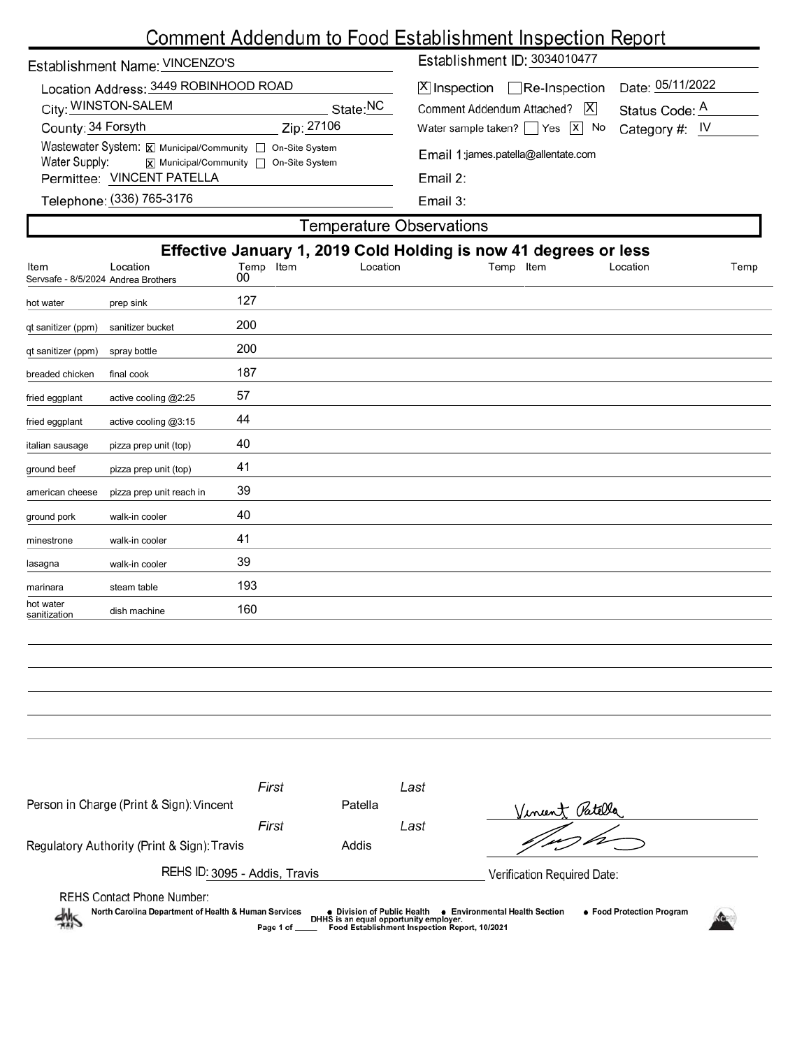# Comment Addendum to Food Establishment Inspection Report

| Establishment Name: VINCENZO'S                                                                                                                                     |          | Establishment ID: 3034010477                                                     |                                    |  |  |  |  |  |
|--------------------------------------------------------------------------------------------------------------------------------------------------------------------|----------|----------------------------------------------------------------------------------|------------------------------------|--|--|--|--|--|
| Location Address: 3449 ROBINHOOD ROAD<br>City: WINSTON-SALEM                                                                                                       | State:NC | $ \mathsf{X} $ Inspection $\Box$ Re-Inspection<br>Comment Addendum Attached?   X | Date: 05/11/2022<br>Status Code: A |  |  |  |  |  |
| County: 34 Forsyth<br>Zip: 27106                                                                                                                                   |          | Water sample taken? $\Box$ Yes $\boxed{x}$ No                                    | Category #: IV                     |  |  |  |  |  |
| Wastewater System: $\boxed{\mathbf{x}}$ Municipal/Community $\boxed{\phantom{a}}$ On-Site System<br>Water Supply:<br><b>x</b> Municipal/Community □ On-Site System |          | Email 1:james.patella@allentate.com                                              |                                    |  |  |  |  |  |
| Permittee: VINCENT PATELLA                                                                                                                                         |          | Email $2:$                                                                       |                                    |  |  |  |  |  |
| Telephone: (336) 765-3176                                                                                                                                          |          | Email 3:                                                                         |                                    |  |  |  |  |  |
| <b>Temperature Observations</b>                                                                                                                                    |          |                                                                                  |                                    |  |  |  |  |  |

|                                             |                          |                 |          | Effective January 1, 2019 Cold Holding is now 41 degrees or less |          |      |
|---------------------------------------------|--------------------------|-----------------|----------|------------------------------------------------------------------|----------|------|
| Item<br>Servsafe - 8/5/2024 Andrea Brothers | Location                 | Temp Item<br>00 | Location | Temp Item                                                        | Location | Temp |
| hot water                                   | prep sink                | 127             |          |                                                                  |          |      |
| qt sanitizer (ppm)                          | sanitizer bucket         | 200             |          |                                                                  |          |      |
| qt sanitizer (ppm)                          | spray bottle             | 200             |          |                                                                  |          |      |
| breaded chicken                             | final cook               | 187             |          |                                                                  |          |      |
| fried eggplant                              | active cooling @2:25     | 57              |          |                                                                  |          |      |
| fried eggplant                              | active cooling @3:15     | 44              |          |                                                                  |          |      |
| italian sausage                             | pizza prep unit (top)    | 40              |          |                                                                  |          |      |
| ground beef                                 | pizza prep unit (top)    | 41              |          |                                                                  |          |      |
| american cheese                             | pizza prep unit reach in | 39              |          |                                                                  |          |      |
| ground pork                                 | walk-in cooler           | 40              |          |                                                                  |          |      |
| minestrone                                  | walk-in cooler           | 41              |          |                                                                  |          |      |
| lasagna                                     | walk-in cooler           | 39              |          |                                                                  |          |      |
| marinara                                    | steam table              | 193             |          |                                                                  |          |      |
| hot water<br>sanitization                   | dish machine             | 160             |          |                                                                  |          |      |

| Person in Charge (Print & Sign): Vincent                                                                   | First        | Patella                     | Last                                                                                    |                                                             |  |  |  |
|------------------------------------------------------------------------------------------------------------|--------------|-----------------------------|-----------------------------------------------------------------------------------------|-------------------------------------------------------------|--|--|--|
|                                                                                                            | First        |                             | Last                                                                                    | Vincent Patella                                             |  |  |  |
| Regulatory Authority (Print & Sign): Travis                                                                |              | Addis                       |                                                                                         |                                                             |  |  |  |
| REHS ID: 3095 - Addis, Travis                                                                              |              |                             |                                                                                         | Verification Required Date:                                 |  |  |  |
| <b>REHS Contact Phone Number:</b><br>North Carolina Department of Health & Human Services<br>$\frac{1}{2}$ | Page 1 of __ | • Division of Public Health | DHHS is an equal opportunity employer.<br>Food Establishment Inspection Report, 10/2021 | • Food Protection Program<br>● Environmental Health Section |  |  |  |